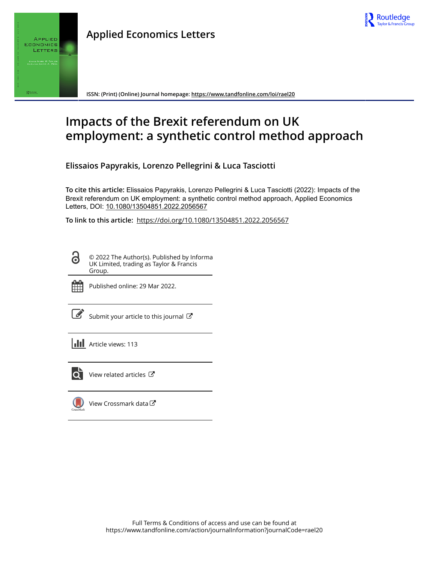



**ISSN: (Print) (Online) Journal homepage:<https://www.tandfonline.com/loi/rael20>**

# **Impacts of the Brexit referendum on UK employment: a synthetic control method approach**

**Elissaios Papyrakis, Lorenzo Pellegrini & Luca Tasciotti**

**To cite this article:** Elissaios Papyrakis, Lorenzo Pellegrini & Luca Tasciotti (2022): Impacts of the Brexit referendum on UK employment: a synthetic control method approach, Applied Economics Letters, DOI: [10.1080/13504851.2022.2056567](https://www.tandfonline.com/action/showCitFormats?doi=10.1080/13504851.2022.2056567)

**To link to this article:** <https://doi.org/10.1080/13504851.2022.2056567>

© 2022 The Author(s). Published by Informa UK Limited, trading as Taylor & Francis Group.



G

Published online: 29 Mar 2022.

[Submit your article to this journal](https://www.tandfonline.com/action/authorSubmission?journalCode=rael20&show=instructions)  $\mathbb{Z}$ 

**Article views: 113** 



 $\overline{Q}$  [View related articles](https://www.tandfonline.com/doi/mlt/10.1080/13504851.2022.2056567)  $\overline{C}$ 

[View Crossmark data](http://crossmark.crossref.org/dialog/?doi=10.1080/13504851.2022.2056567&domain=pdf&date_stamp=2022-03-29)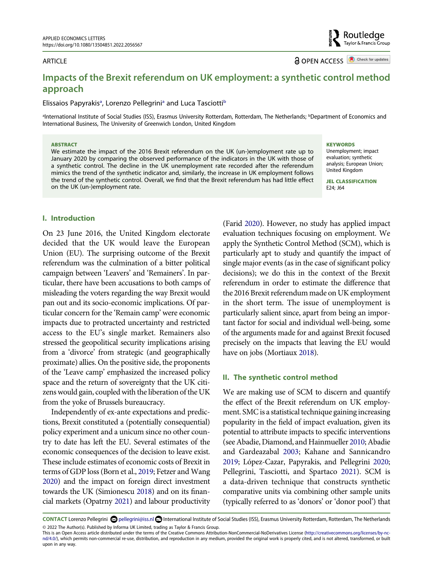#### ARTICLE

**a** OPEN ACCESS **a** Check for updates

Routledge Taylor & Francis Group

# **Impacts of the Brexit referendum on UK employment: a synthetic control method approach**

#### Elis[sa](#page-1-0)ios Papyrakis<sup>a</sup>, Lorenzo Pellegrini<sup>a</sup> and Luca Tasciotti<sup>[b](#page-1-0)</sup>

<span id="page-1-0"></span><sup>a</sup>International Institute of Social Studies (ISS), Erasmus University Rotterdam, Rotterdam, The Netherlands; <sup>b</sup>Department of Economics and International Business, The University of Greenwich London, United Kingdom

#### **ABSTRACT**

We estimate the impact of the 2016 Brexit referendum on the UK (un-)employment rate up to January 2020 by comparing the observed performance of the indicators in the UK with those of a synthetic control. The decline in the UK unemployment rate recorded after the referendum mimics the trend of the synthetic indicator and, similarly, the increase in UK employment follows the trend of the synthetic control. Overall, we find that the Brexit referendum has had little effect on the UK (un-)employment rate.

#### **KEYWORDS**

Unemployment; impact evaluation; synthetic analysis; European Union; United Kingdom

**JEL CLASSIFICATION**  E24; J64

### **I. Introduction**

On 23 June 2016, the United Kingdom electorate decided that the UK would leave the European Union (EU). The surprising outcome of the Brexit referendum was the culmination of a bitter political campaign between 'Leavers' and 'Remainers'. In particular, there have been accusations to both camps of misleading the voters regarding the way Brexit would pan out and its socio-economic implications. Of particular concern for the 'Remain camp' were economic impacts due to protracted uncertainty and restricted access to the EU's single market. Remainers also stressed the geopolitical security implications arising from a 'divorce' from strategic (and geographically proximate) allies. On the positive side, the proponents of the 'Leave camp' emphasized the increased policy space and the return of sovereignty that the UK citizens would gain, coupled with the liberation of the UK from the yoke of Brussels bureaucracy.

Independently of ex-ante expectations and predictions, Brexit constituted a (potentially consequential) policy experiment and a unicum since no other country to date has left the EU. Several estimates of the economic consequences of the decision to leave exist. These include estimates of economic costs of Brexit in terms of GDP loss (Born et al., [2019;](#page-4-0) Fetzer and Wang [2020](#page-4-1)) and the impact on foreign direct investment towards the UK (Simionescu [2018\)](#page-4-2) and on its financial markets (Opatrny [2021](#page-4-3)) and labour productivity

<span id="page-1-4"></span>(Farid [2020\)](#page-4-4). However, no study has applied impact evaluation techniques focusing on employment. We apply the Synthetic Control Method (SCM), which is particularly apt to study and quantify the impact of single major events (as in the case of significant policy decisions); we do this in the context of the Brexit referendum in order to estimate the difference that the 2016 Brexit referendum made on UK employment in the short term. The issue of unemployment is particularly salient since, apart from being an important factor for social and individual well-being, some of the arguments made for and against Brexit focused precisely on the impacts that leaving the EU would have on jobs (Mortiaux [2018\)](#page-4-5).

#### <span id="page-1-6"></span>**II. The synthetic control method**

<span id="page-1-8"></span><span id="page-1-5"></span><span id="page-1-2"></span><span id="page-1-1"></span>We are making use of SCM to discern and quantify the effect of the Brexit referendum on UK employment. SMC is a statistical technique gaining increasing popularity in the field of impact evaluation, given its potential to attribute impacts to specific interventions (see Abadie, Diamond, and Hainmueller [2010](#page-4-6); Abadie and Gardeazabal [2003](#page-4-7); Kahane and Sannicandro [2019](#page-4-8); López-Cazar, Papyrakis, and Pellegrini [2020;](#page-4-9) Pellegrini, Tasciotti, and Spartaco [2021\)](#page-4-10). SCM is a data-driven technique that constructs synthetic comparative units via combining other sample units (typically referred to as 'donors' or 'donor pool') that

<span id="page-1-9"></span><span id="page-1-7"></span><span id="page-1-3"></span>**CONTACT** Lorenzo Pellegrini @pellegrini@iss.nl **D**International Institute of Social Studies (ISS), Erasmus University Rotterdam, Rotterdam, The Netherlands © 2022 The Author(s). Published by Informa UK Limited, trading as Taylor & Francis Group.

This is an Open Access article distributed under the terms of the Creative Commons Attribution-NonCommercial-NoDerivatives License (http://creativecommons.org/licenses/by-ncnd/4.0/), which permits non-commercial re-use, distribution, and reproduction in any medium, provided the original work is properly cited, and is not altered, transformed, or built upon in any way.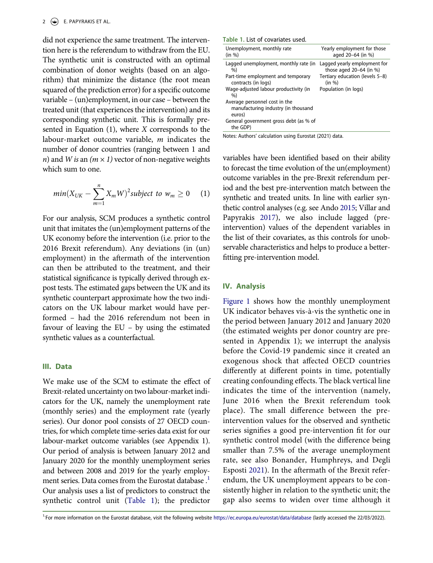did not experience the same treatment. The intervention here is the referendum to withdraw from the EU. The synthetic unit is constructed with an optimal combination of donor weights (based on an algorithm) that minimize the distance (the root mean squared of the prediction error) for a specific outcome variable – (un)employment, in our case – between the treated unit (that experiences the intervention) and its corresponding synthetic unit. This is formally presented in Equation (1), where *X* corresponds to the labour-market outcome variable, *m* indicates the number of donor countries (ranging between 1 and *n*) and *W* is an  $(m \times 1)$  vector of non-negative weights which sum to one.

$$
min(X_{UK} - \sum_{m=1}^{n} X_m W)^2 subject to w_m \ge 0 \quad (1)
$$

For our analysis, SCM produces a synthetic control unit that imitates the (un)employment patterns of the UK economy before the intervention (i.e. prior to the 2016 Brexit referendum). Any deviations (in (un) employment) in the aftermath of the intervention can then be attributed to the treatment, and their statistical significance is typically derived through expost tests. The estimated gaps between the UK and its synthetic counterpart approximate how the two indicators on the UK labour market would have performed – had the 2016 referendum not been in favour of leaving the EU – by using the estimated synthetic values as a counterfactual.

#### **III. Data**

We make use of the SCM to estimate the effect of Brexit-related uncertainty on two labour-market indicators for the UK, namely the unemployment rate (monthly series) and the employment rate (yearly series). Our donor pool consists of 27 OECD countries, for which complete time-series data exist for our labour-market outcome variables (see Appendix 1). Our period of analysis is between January 2012 and January 2020 for the monthly unemployment series and between 2008 and 2019 for the yearly employment series. Data comes from the Eurostat database . [1](#page-2-0) Our analysis uses a list of predictors to construct the synthetic control unit [\(Table 1\)](#page-2-1); the predictor

<span id="page-2-1"></span>

|  |  |  |  | Table 1. List of covariates used. |  |
|--|--|--|--|-----------------------------------|--|
|--|--|--|--|-----------------------------------|--|

| Unemployment, monthly rate<br>(in %)                                           | Yearly employment for those<br>aged 20-64 (in %)          |
|--------------------------------------------------------------------------------|-----------------------------------------------------------|
| Lagged unemployment, monthly rate (in<br>$\%$                                  | Lagged yearly employment for<br>those aged $20-64$ (in %) |
| Part-time employment and temporary<br>contracts (in logs)                      | Tertiary education (levels 5-8)<br>(in %)                 |
| Wage-adjusted labour productivity (in<br>$\%$                                  | Population (in logs)                                      |
| Average personnel cost in the<br>manufacturing industry (in thousand<br>euros) |                                                           |
| General government gross debt (as % of<br>the GDP)                             |                                                           |

Notes: Authors' calculation using Eurostat (2021) data.

<span id="page-2-4"></span><span id="page-2-2"></span>variables have been identified based on their ability to forecast the time evolution of the un(employment) outcome variables in the pre-Brexit referendum period and the best pre-intervention match between the synthetic and treated units. In line with earlier synthetic control analyses (e.g. see Ando [2015;](#page-4-11) Villar and Papyrakis [2017\)](#page-4-12), we also include lagged (preintervention) values of the dependent variables in the list of their covariates, as this controls for unobservable characteristics and helps to produce a betterfitting pre-intervention model.

#### **IV. Analysis**

<span id="page-2-3"></span>[Figure 1](#page-3-0) shows how the monthly unemployment UK indicator behaves vis-à-vis the synthetic one in the period between January 2012 and January 2020 (the estimated weights per donor country are presented in Appendix 1); we interrupt the analysis before the Covid-19 pandemic since it created an exogenous shock that affected OECD countries differently at different points in time, potentially creating confounding effects. The black vertical line indicates the time of the intervention (namely, June 2016 when the Brexit referendum took place). The small difference between the preintervention values for the observed and synthetic series signifies a good pre-intervention fit for our synthetic control model (with the difference being smaller than 7.5% of the average unemployment rate, see also Bonander, Humphreys, and Degli Esposti [2021\)](#page-4-13). In the aftermath of the Brexit referendum, the UK unemployment appears to be consistently higher in relation to the synthetic unit; the gap also seems to widen over time although it

<span id="page-2-0"></span><sup>1.</sup>For more information on the Eurostat database, visit the following website <https://ec.europa.eu/eurostat/data/database> (lastly accessed the 22/03/2022).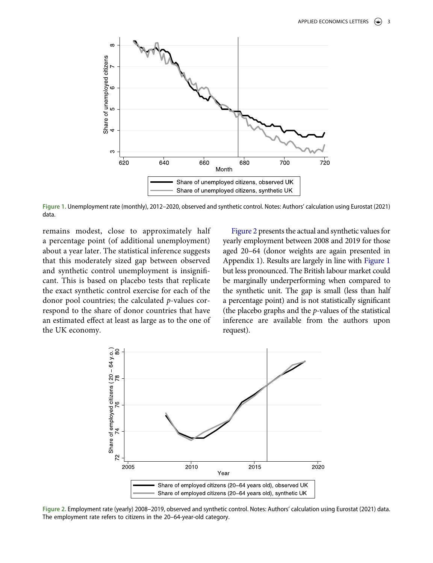<span id="page-3-0"></span>

**Figure 1.** Unemployment rate (monthly), 2012–2020, observed and synthetic control. Notes: Authors' calculation using Eurostat (2021) data.

remains modest, close to approximately half a percentage point (of additional unemployment) about a year later. The statistical inference suggests that this moderately sized gap between observed and synthetic control unemployment is insignificant. This is based on placebo tests that replicate the exact synthetic control exercise for each of the donor pool countries; the calculated *p*-values correspond to the share of donor countries that have an estimated effect at least as large as to the one of the UK economy.

[Figure 2](#page-3-1) presents the actual and synthetic values for yearly employment between 2008 and 2019 for those aged 20–64 (donor weights are again presented in Appendix 1). Results are largely in line with [Figure 1](#page-3-0) but less pronounced. The British labour market could be marginally underperforming when compared to the synthetic unit. The gap is small (less than half a percentage point) and is not statistically significant (the placebo graphs and the *p*-values of the statistical inference are available from the authors upon request).

<span id="page-3-1"></span>

**Figure 2.** Employment rate (yearly) 2008–2019, observed and synthetic control. Notes: Authors' calculation using Eurostat (2021) data. The employment rate refers to citizens in the 20–64-year-old category.